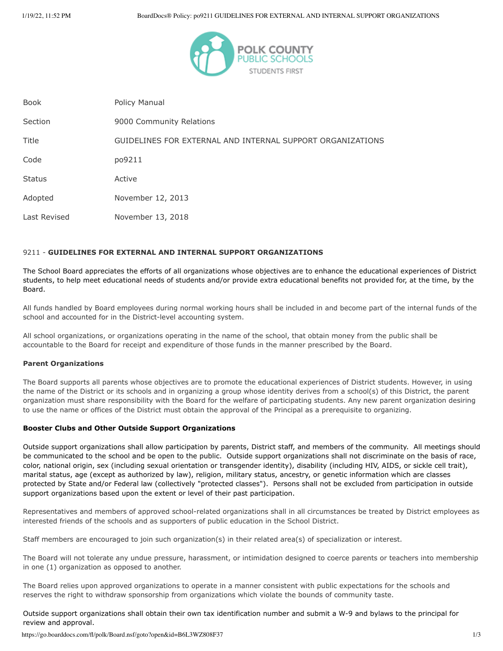

| <b>Book</b>   | Policy Manual                                              |
|---------------|------------------------------------------------------------|
| Section       | 9000 Community Relations                                   |
| Title         | GUIDELINES FOR EXTERNAL AND INTERNAL SUPPORT ORGANIZATIONS |
| Code          | po9211                                                     |
| <b>Status</b> | Active                                                     |
| Adopted       | November 12, 2013                                          |
| Last Revised  | November 13, 2018                                          |

## 9211 - **GUIDELINES FOR EXTERNAL AND INTERNAL SUPPORT ORGANIZATIONS**

The School Board appreciates the efforts of all organizations whose objectives are to enhance the educational experiences of District students, to help meet educational needs of students and/or provide extra educational benefits not provided for, at the time, by the Board.

All funds handled by Board employees during normal working hours shall be included in and become part of the internal funds of the school and accounted for in the District-level accounting system.

All school organizations, or organizations operating in the name of the school, that obtain money from the public shall be accountable to the Board for receipt and expenditure of those funds in the manner prescribed by the Board.

## **Parent Organizations**

The Board supports all parents whose objectives are to promote the educational experiences of District students. However, in using the name of the District or its schools and in organizing a group whose identity derives from a school(s) of this District, the parent organization must share responsibility with the Board for the welfare of participating students. Any new parent organization desiring to use the name or offices of the District must obtain the approval of the Principal as a prerequisite to organizing.

## **Booster Clubs and Other Outside Support Organizations**

Outside support organizations shall allow participation by parents, District staff, and members of the community. All meetings should be communicated to the school and be open to the public. Outside support organizations shall not discriminate on the basis of race, color, national origin, sex (including sexual orientation or transgender identity), disability (including HIV, AIDS, or sickle cell trait), marital status, age (except as authorized by law), religion, military status, ancestry, or genetic information which are classes protected by State and/or Federal law (collectively "protected classes"). Persons shall not be excluded from participation in outside support organizations based upon the extent or level of their past participation.

Representatives and members of approved school-related organizations shall in all circumstances be treated by District employees as interested friends of the schools and as supporters of public education in the School District.

Staff members are encouraged to join such organization(s) in their related area(s) of specialization or interest.

The Board will not tolerate any undue pressure, harassment, or intimidation designed to coerce parents or teachers into membership in one (1) organization as opposed to another.

The Board relies upon approved organizations to operate in a manner consistent with public expectations for the schools and reserves the right to withdraw sponsorship from organizations which violate the bounds of community taste.

Outside support organizations shall obtain their own tax identification number and submit a W-9 and bylaws to the principal for review and approval.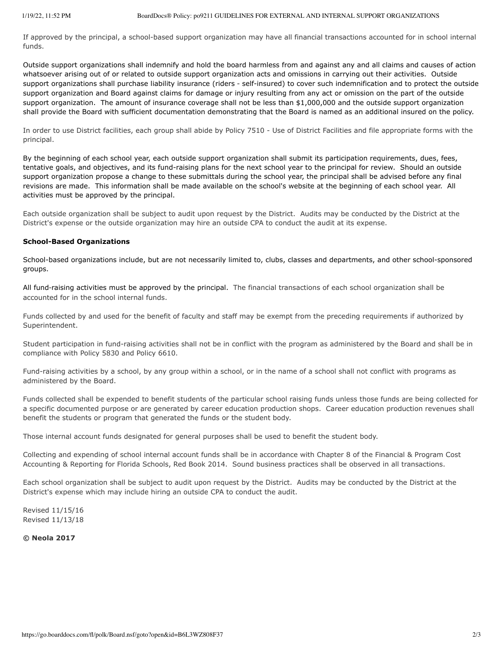If approved by the principal, a school-based support organization may have all financial transactions accounted for in school internal funds.

Outside support organizations shall indemnify and hold the board harmless from and against any and all claims and causes of action whatsoever arising out of or related to outside support organization acts and omissions in carrying out their activities. Outside support organizations shall purchase liability insurance (riders ‑ self-insured) to cover such indemnification and to protect the outside support organization and Board against claims for damage or injury resulting from any act or omission on the part of the outside support organization. The amount of insurance coverage shall not be less than \$1,000,000 and the outside support organization shall provide the Board with sufficient documentation demonstrating that the Board is named as an additional insured on the policy.

In order to use District facilities, each group shall abide by Policy 7510 - Use of District Facilities and file appropriate forms with the principal.

By the beginning of each school year, each outside support organization shall submit its participation requirements, dues, fees, tentative goals, and objectives, and its fund-raising plans for the next school year to the principal for review. Should an outside support organization propose a change to these submittals during the school year, the principal shall be advised before any final revisions are made. This information shall be made available on the school's website at the beginning of each school year. All activities must be approved by the principal.

Each outside organization shall be subject to audit upon request by the District. Audits may be conducted by the District at the District's expense or the outside organization may hire an outside CPA to conduct the audit at its expense.

## **School-Based Organizations**

School-based organizations include, but are not necessarily limited to, clubs, classes and departments, and other school-sponsored groups.

All fund-raising activities must be approved by the principal. The financial transactions of each school organization shall be accounted for in the school internal funds.

Funds collected by and used for the benefit of faculty and staff may be exempt from the preceding requirements if authorized by Superintendent.

Student participation in fund-raising activities shall not be in conflict with the program as administered by the Board and shall be in compliance with Policy 5830 and Policy 6610.

Fund-raising activities by a school, by any group within a school, or in the name of a school shall not conflict with programs as administered by the Board.

Funds collected shall be expended to benefit students of the particular school raising funds unless those funds are being collected for a specific documented purpose or are generated by career education production shops. Career education production revenues shall benefit the students or program that generated the funds or the student body.

Those internal account funds designated for general purposes shall be used to benefit the student body.

Collecting and expending of school internal account funds shall be in accordance with Chapter 8 of the Financial & Program Cost Accounting & Reporting for Florida Schools, Red Book 2014. Sound business practices shall be observed in all transactions.

Each school organization shall be subject to audit upon request by the District. Audits may be conducted by the District at the District's expense which may include hiring an outside CPA to conduct the audit.

Revised 11/15/16 Revised 11/13/18

**© Neola 2017**